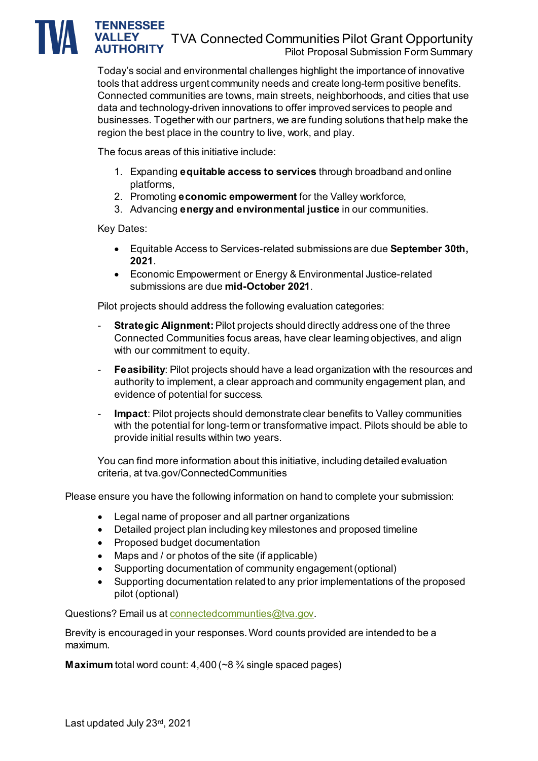#### **TENNESSEE** TVA Connected Communities Pilot Grant Opportunity Pilot Proposal Submission Form Summary

Today's social and environmental challenges highlight the importance of innovative tools that address urgent community needs and create long-term positive benefits. Connected communities are towns, main streets, neighborhoods, and cities that use data and technology-driven innovations to offer improved services to people and businesses. Together with our partners, we are funding solutions that help make the region the best place in the country to live, work, and play.

The focus areas of this initiative include:

- 1. Expanding **equitable access to services** through broadband and online platforms,
- 2. Promoting **economic empowerment** for the Valley workforce,
- 3. Advancing **energy and environmental justice** in our communities.

#### Key Dates:

- Equitable Access to Services-related submissions are due **September 30th, 2021**.
- Economic Empowerment or Energy & Environmental Justice-related submissions are due **mid-October 2021**.

Pilot projects should address the following evaluation categories:

- **Strategic Alignment:**Pilot projects should directly address one of the three Connected Communities focus areas, have clear learning objectives, and align with our commitment to equity.
- **Feasibility**: Pilot projects should have a lead organization with the resources and authority to implement, a clear approach and community engagement plan, and evidence of potential for success.
- **Impact**: Pilot projects should demonstrate clear benefits to Valley communities with the potential for long-term or transformative impact. Pilots should be able to provide initial results within two years.

You can find more information about this initiative, including detailed evaluation criteria, at tva.gov/ConnectedCommunities

Please ensure you have the following information on hand to complete your submission:

- Legal name of proposer and all partner organizations
- Detailed project plan including key milestones and proposed timeline
- Proposed budget documentation
- Maps and / or photos of the site (if applicable)
- Supporting documentation of community engagement (optional)
- Supporting documentation related to any prior implementations of the proposed pilot (optional)

Questions? Email us at connected communties@tva.gov.

Brevity is encouraged in your responses. Word counts provided are intended to be a maximum.

**Maximum** total word count: 4,400 (~8 ¾ single spaced pages)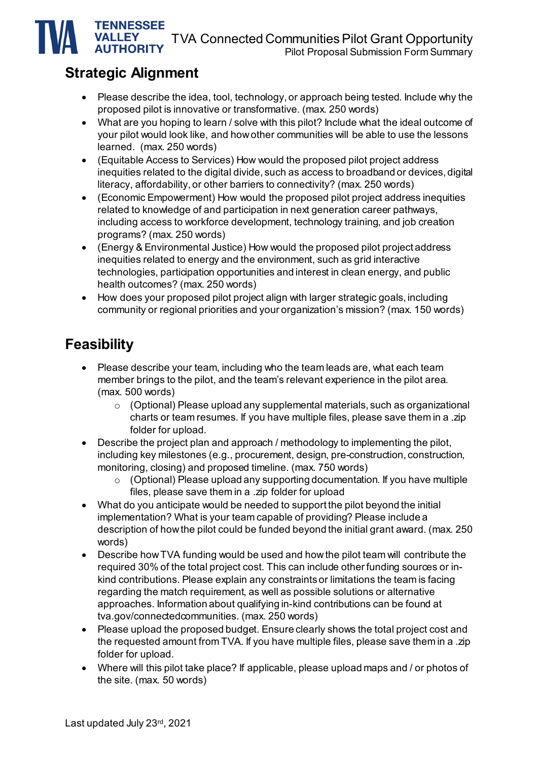TVA Connected Communities Pilot Grant Opportunity

Pilot Proposal Submission Form Summary

## **Strategic Alignment**

**TENNESSEE VALLEY AUTHORITY** 

- Please describe the idea, tool, technology, or approach being tested. Include why the proposed pilot is innovative or transformative. (max. 250 words)
- What are you hoping to learn / solve with this pilot? Include what the ideal outcome of your pilot would look like, and how other communities will be able to use the lessons learned. (max. 250 words)
- (Equitable Access to Services) How would the proposed pilot project address inequities related to the digital divide, such as access to broadband or devices, digital literacy, affordability, or other barriers to connectivity? (max. 250 words)
- (Economic Empowerment) How would the proposed pilot project address inequities related to knowledge of and participation in next generation career pathways, including access to workforce development, technology training, and job creation programs? (max. 250 words)
- (Energy & Environmental Justice) How would the proposed pilot project address inequities related to energy and the environment, such as grid interactive technologies, participation opportunities and interest in clean energy, and public health outcomes? (max. 250 words)
- How does your proposed pilot project align with larger strategic goals, including community or regional priorities and your organization's mission? (max. 150 words)

### **Feasibility**

- Please describe your team, including who the team leads are, what each team member brings to the pilot, and the team's relevant experience in the pilot area. (max. 500 words)
	- $\circ$  (Optional) Please upload any supplemental materials, such as organizational charts or team resumes. If you have multiple files, please save them in a .zip folder for upload.
- Describe the project plan and approach / methodology to implementing the pilot, including key milestones (e.g., procurement, design, pre-construction, construction, monitoring, closing) and proposed timeline. (max. 750 words)
	- o (Optional) Please upload any supporting documentation. If you have multiple files, please save them in a .zip folder for upload
- What do you anticipate would be needed to support the pilot beyond the initial implementation? What is your team capable of providing? Please include a description of how the pilot could be funded beyond the initial grant award. (max. 250 words)
- Describe how TVA funding would be used and how the pilot team will contribute the required 30% of the total project cost. This can include other funding sources or inkind contributions. Please explain any constraints or limitations the team is facing regarding the match requirement, as well as possible solutions or alternative approaches. Information about qualifying in-kind contributions can be found at tva.gov/connectedcommunities. (max. 250 words)
- Please upload the proposed budget. Ensure clearly shows the total project cost and the requested amount from TVA. If you have multiple files, please save them in a .zip folder for upload.
- Where will this pilot take place? If applicable, please upload maps and / or photos of the site. (max. 50 words)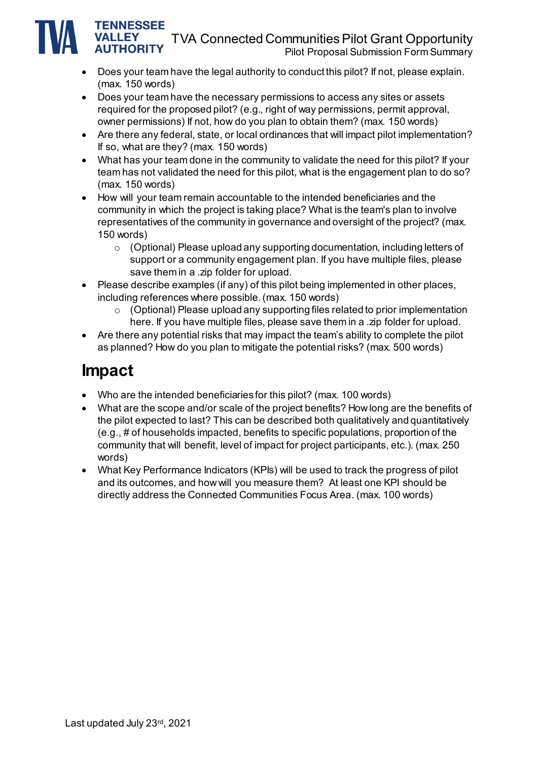### TVA Connected Communities Pilot Grant Opportunity

Pilot Proposal Submission Form Summary

- Does your team have the legal authority to conduct this pilot? If not, please explain. (max. 150 words)
- Does your team have the necessary permissions to access any sites or assets required for the proposed pilot? (e.g., right of way permissions, permit approval, owner permissions) If not, how do you plan to obtain them? (max. 150 words)
- Are there any federal, state, or local ordinances that will impact pilot implementation? If so, what are they? (max. 150 words)
- What has your team done in the community to validate the need for this pilot? If your team has not validated the need for this pilot, what is the engagement plan to do so? (max. 150 words)
- How will your team remain accountable to the intended beneficiaries and the community in which the project is taking place? What is the team's plan to involve representatives of the community in governance and oversight of the project? (max. 150 words)
	- o (Optional) Please upload any supporting documentation, including letters of support or a community engagement plan. If you have multiple files, please save them in a .zip folder for upload.
- Please describe examples (if any) of this pilot being implemented in other places, including references where possible. (max. 150 words)
	- o (Optional) Please upload any supporting files related to prior implementation here. If you have multiple files, please save them in a .zip folder for upload.
- Are there any potential risks that may impact the team's ability to complete the pilot as planned? How do you plan to mitigate the potential risks? (max. 500 words)

## **Impact**

**TENNESSEE VALLEY AUTHORITY** 

- Who are the intended beneficiaries for this pilot? (max. 100 words)
- What are the scope and/or scale of the project benefits? How long are the benefits of the pilot expected to last? This can be described both qualitatively and quantitatively (e.g., # of households impacted, benefits to specific populations, proportion of the community that will benefit, level of impact for project participants, etc.). (max. 250 words)
- What Key Performance Indicators (KPIs) will be used to track the progress of pilot and its outcomes, and how will you measure them? At least one KPI should be directly address the Connected Communities Focus Area. (max. 100 words)